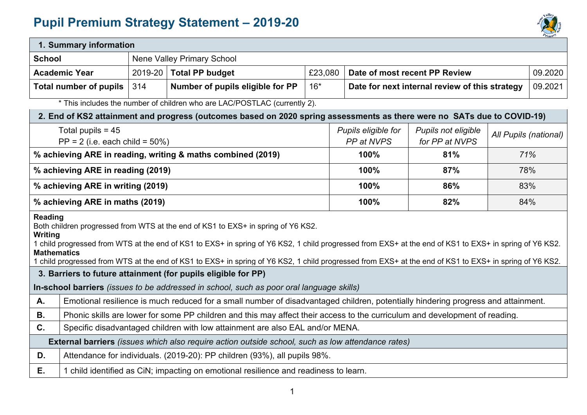## **Pupil Premium Strategy Statement – 2019-20**



| 1. Summary information                                                                                                                                                                                                                                                                                                                                                                                                                                  |                                                                                                                                   |                                   |                                                                                                                         |                                   |                                       |                                                           |     |  |
|---------------------------------------------------------------------------------------------------------------------------------------------------------------------------------------------------------------------------------------------------------------------------------------------------------------------------------------------------------------------------------------------------------------------------------------------------------|-----------------------------------------------------------------------------------------------------------------------------------|-----------------------------------|-------------------------------------------------------------------------------------------------------------------------|-----------------------------------|---------------------------------------|-----------------------------------------------------------|-----|--|
| <b>School</b>                                                                                                                                                                                                                                                                                                                                                                                                                                           |                                                                                                                                   | <b>Nene Valley Primary School</b> |                                                                                                                         |                                   |                                       |                                                           |     |  |
|                                                                                                                                                                                                                                                                                                                                                                                                                                                         | <b>Academic Year</b>                                                                                                              | 2019-20                           | <b>Total PP budget</b>                                                                                                  | £23,080                           |                                       | Date of most recent PP Review<br>09.2020                  |     |  |
|                                                                                                                                                                                                                                                                                                                                                                                                                                                         | <b>Total number of pupils</b>                                                                                                     | 314                               | Number of pupils eligible for PP                                                                                        | $16*$                             |                                       | 09.2021<br>Date for next internal review of this strategy |     |  |
|                                                                                                                                                                                                                                                                                                                                                                                                                                                         |                                                                                                                                   |                                   | * This includes the number of children who are LAC/POSTLAC (currently 2).                                               |                                   |                                       |                                                           |     |  |
|                                                                                                                                                                                                                                                                                                                                                                                                                                                         |                                                                                                                                   |                                   | 2. End of KS2 attainment and progress (outcomes based on 2020 spring assessments as there were no SATs due to COVID-19) |                                   |                                       |                                                           |     |  |
| Total pupils = $45$<br>$PP = 2$ (i.e. each child = 50%)                                                                                                                                                                                                                                                                                                                                                                                                 |                                                                                                                                   |                                   |                                                                                                                         | Pupils eligible for<br>PP at NVPS | Pupils not eligible<br>for PP at NVPS | All Pupils (national)                                     |     |  |
|                                                                                                                                                                                                                                                                                                                                                                                                                                                         |                                                                                                                                   |                                   | % achieving ARE in reading, writing & maths combined (2019)                                                             |                                   | 100%                                  | 81%                                                       | 71% |  |
| % achieving ARE in reading (2019)                                                                                                                                                                                                                                                                                                                                                                                                                       |                                                                                                                                   |                                   |                                                                                                                         | 100%                              | 87%                                   | 78%                                                       |     |  |
|                                                                                                                                                                                                                                                                                                                                                                                                                                                         | % achieving ARE in writing (2019)                                                                                                 |                                   |                                                                                                                         |                                   | 100%                                  | 86%                                                       | 83% |  |
|                                                                                                                                                                                                                                                                                                                                                                                                                                                         | % achieving ARE in maths (2019)                                                                                                   |                                   |                                                                                                                         |                                   | 100%                                  | 82%                                                       | 84% |  |
| <b>Reading</b><br>Both children progressed from WTS at the end of KS1 to EXS+ in spring of Y6 KS2.<br>Writing<br>1 child progressed from WTS at the end of KS1 to EXS+ in spring of Y6 KS2, 1 child progressed from EXS+ at the end of KS1 to EXS+ in spring of Y6 KS2.<br><b>Mathematics</b><br>1 child progressed from WTS at the end of KS1 to EXS+ in spring of Y6 KS2, 1 child progressed from EXS+ at the end of KS1 to EXS+ in spring of Y6 KS2. |                                                                                                                                   |                                   |                                                                                                                         |                                   |                                       |                                                           |     |  |
| 3. Barriers to future attainment (for pupils eligible for PP)                                                                                                                                                                                                                                                                                                                                                                                           |                                                                                                                                   |                                   |                                                                                                                         |                                   |                                       |                                                           |     |  |
| In-school barriers (issues to be addressed in school, such as poor oral language skills)                                                                                                                                                                                                                                                                                                                                                                |                                                                                                                                   |                                   |                                                                                                                         |                                   |                                       |                                                           |     |  |
| Α.                                                                                                                                                                                                                                                                                                                                                                                                                                                      | Emotional resilience is much reduced for a small number of disadvantaged children, potentially hindering progress and attainment. |                                   |                                                                                                                         |                                   |                                       |                                                           |     |  |
| В.                                                                                                                                                                                                                                                                                                                                                                                                                                                      | Phonic skills are lower for some PP children and this may affect their access to the curriculum and development of reading.       |                                   |                                                                                                                         |                                   |                                       |                                                           |     |  |
| C.                                                                                                                                                                                                                                                                                                                                                                                                                                                      | Specific disadvantaged children with low attainment are also EAL and/or MENA.                                                     |                                   |                                                                                                                         |                                   |                                       |                                                           |     |  |
| <b>External barriers</b> (issues which also require action outside school, such as low attendance rates)                                                                                                                                                                                                                                                                                                                                                |                                                                                                                                   |                                   |                                                                                                                         |                                   |                                       |                                                           |     |  |
| D.                                                                                                                                                                                                                                                                                                                                                                                                                                                      | Attendance for individuals. (2019-20): PP children (93%), all pupils 98%.                                                         |                                   |                                                                                                                         |                                   |                                       |                                                           |     |  |
| Е.                                                                                                                                                                                                                                                                                                                                                                                                                                                      | 1 child identified as CiN; impacting on emotional resilience and readiness to learn.                                              |                                   |                                                                                                                         |                                   |                                       |                                                           |     |  |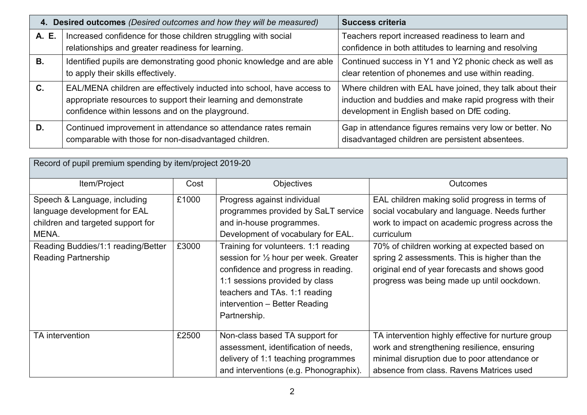|           | 4. Desired outcomes (Desired outcomes and how they will be measured)                                                                                                                          | <b>Success criteria</b>                                                                                                                                               |  |  |
|-----------|-----------------------------------------------------------------------------------------------------------------------------------------------------------------------------------------------|-----------------------------------------------------------------------------------------------------------------------------------------------------------------------|--|--|
| A. E.     | Increased confidence for those children struggling with social<br>relationships and greater readiness for learning.                                                                           | Teachers report increased readiness to learn and<br>confidence in both attitudes to learning and resolving                                                            |  |  |
| <b>B.</b> | Identified pupils are demonstrating good phonic knowledge and are able<br>to apply their skills effectively.                                                                                  | Continued success in Y1 and Y2 phonic check as well as<br>clear retention of phonemes and use within reading.                                                         |  |  |
| C.        | EAL/MENA children are effectively inducted into school, have access to<br>appropriate resources to support their learning and demonstrate<br>confidence within lessons and on the playground. | Where children with EAL have joined, they talk about their<br>induction and buddies and make rapid progress with their<br>development in English based on DfE coding. |  |  |
| D.        | Continued improvement in attendance so attendance rates remain<br>comparable with those for non-disadvantaged children.                                                                       | Gap in attendance figures remains very low or better. No<br>disadvantaged children are persistent absentees.                                                          |  |  |

| Record of pupil premium spending by item/project 2019-20                                                                                                                       |                |                                                                                                                                                                                                                                                                                                                                                                                             |                                                                                                                                                                                                                                                                                                                                                                 |  |
|--------------------------------------------------------------------------------------------------------------------------------------------------------------------------------|----------------|---------------------------------------------------------------------------------------------------------------------------------------------------------------------------------------------------------------------------------------------------------------------------------------------------------------------------------------------------------------------------------------------|-----------------------------------------------------------------------------------------------------------------------------------------------------------------------------------------------------------------------------------------------------------------------------------------------------------------------------------------------------------------|--|
| Item/Project                                                                                                                                                                   | Cost           | <b>Objectives</b>                                                                                                                                                                                                                                                                                                                                                                           | <b>Outcomes</b>                                                                                                                                                                                                                                                                                                                                                 |  |
| Speech & Language, including<br>language development for EAL<br>children and targeted support for<br>MENA.<br>Reading Buddies/1:1 reading/Better<br><b>Reading Partnership</b> | £1000<br>£3000 | Progress against individual<br>programmes provided by SaLT service<br>and in-house programmes.<br>Development of vocabulary for EAL.<br>Training for volunteers. 1:1 reading<br>session for $\frac{1}{2}$ hour per week. Greater<br>confidence and progress in reading.<br>1:1 sessions provided by class<br>teachers and TAs. 1:1 reading<br>intervention - Better Reading<br>Partnership. | EAL children making solid progress in terms of<br>social vocabulary and language. Needs further<br>work to impact on academic progress across the<br>curriculum<br>70% of children working at expected based on<br>spring 2 assessments. This is higher than the<br>original end of year forecasts and shows good<br>progress was being made up until oockdown. |  |
| TA intervention                                                                                                                                                                | £2500          | Non-class based TA support for<br>assessment, identification of needs,<br>delivery of 1:1 teaching programmes<br>and interventions (e.g. Phonographix).                                                                                                                                                                                                                                     | TA intervention highly effective for nurture group<br>work and strengthening resilience, ensuring<br>minimal disruption due to poor attendance or<br>absence from class. Ravens Matrices used                                                                                                                                                                   |  |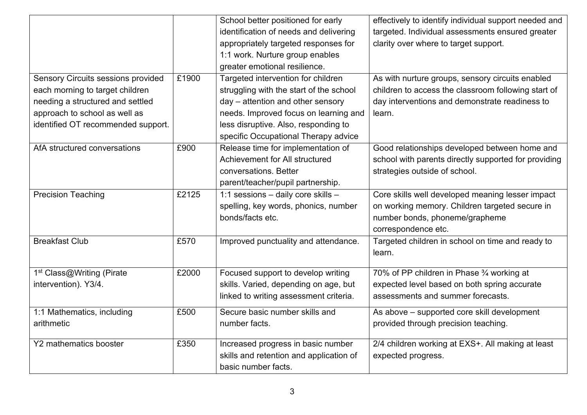|                                       |       | School better positioned for early      | effectively to identify individual support needed and |
|---------------------------------------|-------|-----------------------------------------|-------------------------------------------------------|
|                                       |       | identification of needs and delivering  | targeted. Individual assessments ensured greater      |
|                                       |       | appropriately targeted responses for    | clarity over where to target support.                 |
|                                       |       | 1:1 work. Nurture group enables         |                                                       |
|                                       |       | greater emotional resilience.           |                                                       |
| Sensory Circuits sessions provided    | £1900 | Targeted intervention for children      | As with nurture groups, sensory circuits enabled      |
| each morning to target children       |       | struggling with the start of the school | children to access the classroom following start of   |
| needing a structured and settled      |       | day – attention and other sensory       | day interventions and demonstrate readiness to        |
| approach to school as well as         |       | needs. Improved focus on learning and   | learn.                                                |
| identified OT recommended support.    |       | less disruptive. Also, responding to    |                                                       |
|                                       |       | specific Occupational Therapy advice    |                                                       |
| AfA structured conversations          | £900  | Release time for implementation of      | Good relationships developed between home and         |
|                                       |       | Achievement for All structured          | school with parents directly supported for providing  |
|                                       |       | conversations. Better                   | strategies outside of school.                         |
|                                       |       | parent/teacher/pupil partnership.       |                                                       |
| <b>Precision Teaching</b>             | £2125 | 1:1 sessions - daily core skills -      | Core skills well developed meaning lesser impact      |
|                                       |       | spelling, key words, phonics, number    | on working memory. Children targeted secure in        |
|                                       |       | bonds/facts etc.                        | number bonds, phoneme/grapheme                        |
|                                       |       |                                         | correspondence etc.                                   |
| <b>Breakfast Club</b>                 | £570  | Improved punctuality and attendance.    | Targeted children in school on time and ready to      |
|                                       |       |                                         | learn.                                                |
|                                       |       |                                         |                                                       |
| 1 <sup>st</sup> Class@Writing (Pirate | £2000 | Focused support to develop writing      | 70% of PP children in Phase 3/4 working at            |
| intervention). Y3/4.                  |       | skills. Varied, depending on age, but   | expected level based on both spring accurate          |
|                                       |       | linked to writing assessment criteria.  | assessments and summer forecasts.                     |
| 1:1 Mathematics, including            | £500  | Secure basic number skills and          | As above - supported core skill development           |
| arithmetic                            |       | number facts.                           | provided through precision teaching.                  |
|                                       |       |                                         |                                                       |
| Y2 mathematics booster                | £350  | Increased progress in basic number      | 2/4 children working at EXS+. All making at least     |
|                                       |       | skills and retention and application of | expected progress.                                    |
|                                       |       | basic number facts.                     |                                                       |